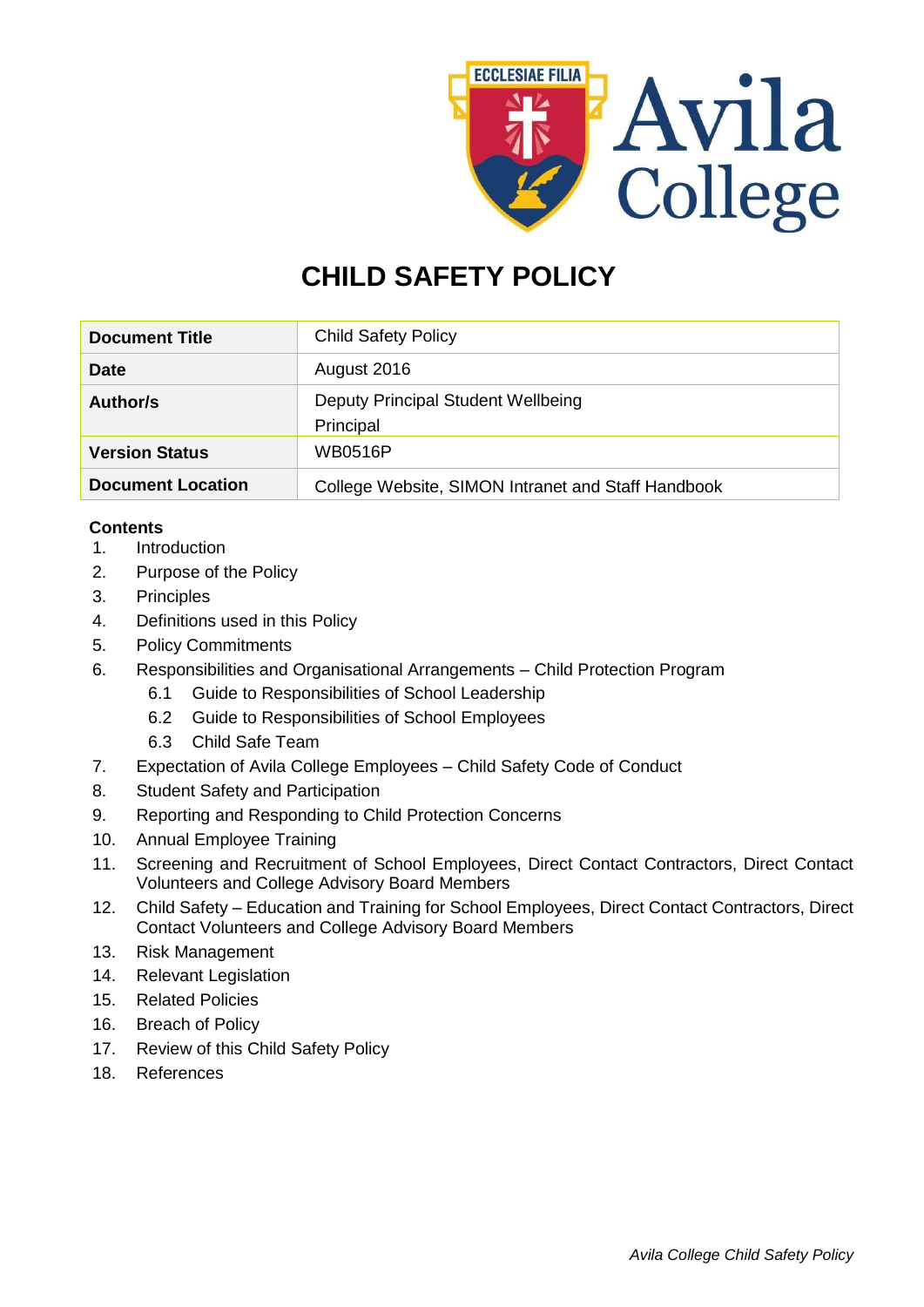

# **CHILD SAFETY POLICY**

| <b>Document Title</b>    | <b>Child Safety Policy</b>                         |  |
|--------------------------|----------------------------------------------------|--|
| Date                     | August 2016                                        |  |
| Author/s                 | Deputy Principal Student Wellbeing<br>Principal    |  |
| <b>Version Status</b>    | <b>WB0516P</b>                                     |  |
| <b>Document Location</b> | College Website, SIMON Intranet and Staff Handbook |  |

# **Contents**

- 1. Introduction
- 2. Purpose of the Policy
- 3. Principles
- 4. Definitions used in this Policy
- 5. Policy Commitments
- 6. Responsibilities and Organisational Arrangements Child Protection Program
	- 6.1 Guide to Responsibilities of School Leadership
	- 6.2 Guide to Responsibilities of School Employees
	- 6.3 Child Safe Team
- 7. Expectation of Avila College Employees Child Safety Code of Conduct
- 8. Student Safety and Participation
- 9. Reporting and Responding to Child Protection Concerns
- 10. Annual Employee Training
- 11. Screening and Recruitment of School Employees, Direct Contact Contractors, Direct Contact Volunteers and College Advisory Board Members
- 12. Child Safety Education and Training for School Employees, Direct Contact Contractors, Direct Contact Volunteers and College Advisory Board Members
- 13. Risk Management
- 14. Relevant Legislation
- 15. Related Policies
- 16. Breach of Policy
- 17. Review of this Child Safety Policy
- 18. References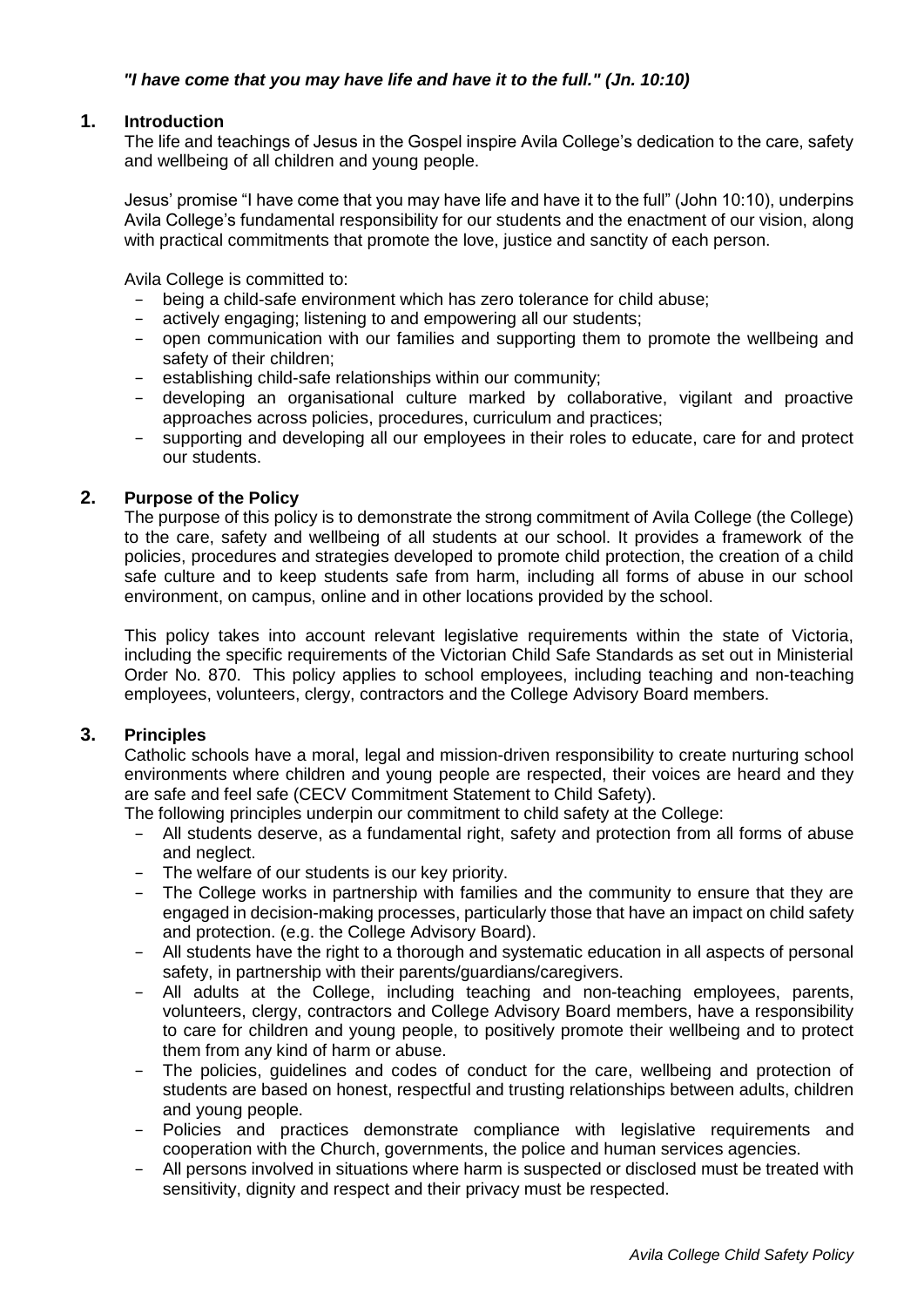# *"I have come that you may have life and have it to the full." (Jn. 10:10)*

## **1. Introduction**

The life and teachings of Jesus in the Gospel inspire Avila College's dedication to the care, safety and wellbeing of all children and young people.

Jesus' promise "I have come that you may have life and have it to the full" (John 10:10), underpins Avila College's fundamental responsibility for our students and the enactment of our vision, along with practical commitments that promote the love, justice and sanctity of each person.

Avila College is committed to:

- − being a child-safe environment which has zero tolerance for child abuse;
- actively engaging; listening to and empowering all our students;
- − open communication with our families and supporting them to promote the wellbeing and safety of their children;
- establishing child-safe relationships within our community;
- − developing an organisational culture marked by collaborative, vigilant and proactive approaches across policies, procedures, curriculum and practices;
- supporting and developing all our employees in their roles to educate, care for and protect our students.

# **2. Purpose of the Policy**

The purpose of this policy is to demonstrate the strong commitment of Avila College (the College) to the care, safety and wellbeing of all students at our school. It provides a framework of the policies, procedures and strategies developed to promote child protection, the creation of a child safe culture and to keep students safe from harm, including all forms of abuse in our school environment, on campus, online and in other locations provided by the school.

This policy takes into account relevant legislative requirements within the state of Victoria, including the specific requirements of the Victorian Child Safe Standards as set out in Ministerial Order No. 870. This policy applies to school employees, including teaching and non-teaching employees, volunteers, clergy, contractors and the College Advisory Board members.

# **3. Principles**

Catholic schools have a moral, legal and mission-driven responsibility to create nurturing school environments where children and young people are respected, their voices are heard and they are safe and feel safe (CECV Commitment Statement to Child Safety).

The following principles underpin our commitment to child safety at the College:

- − All students deserve, as a fundamental right, safety and protection from all forms of abuse and neglect.
- The welfare of our students is our key priority.
- − The College works in partnership with families and the community to ensure that they are engaged in decision-making processes, particularly those that have an impact on child safety and protection. (e.g. the College Advisory Board).
- − All students have the right to a thorough and systematic education in all aspects of personal safety, in partnership with their parents/guardians/caregivers.
- All adults at the College, including teaching and non-teaching employees, parents, volunteers, clergy, contractors and College Advisory Board members, have a responsibility to care for children and young people, to positively promote their wellbeing and to protect them from any kind of harm or abuse.
- The policies, guidelines and codes of conduct for the care, wellbeing and protection of students are based on honest, respectful and trusting relationships between adults, children and young people.
- − Policies and practices demonstrate compliance with legislative requirements and cooperation with the Church, governments, the police and human services agencies.
- − All persons involved in situations where harm is suspected or disclosed must be treated with sensitivity, dignity and respect and their privacy must be respected.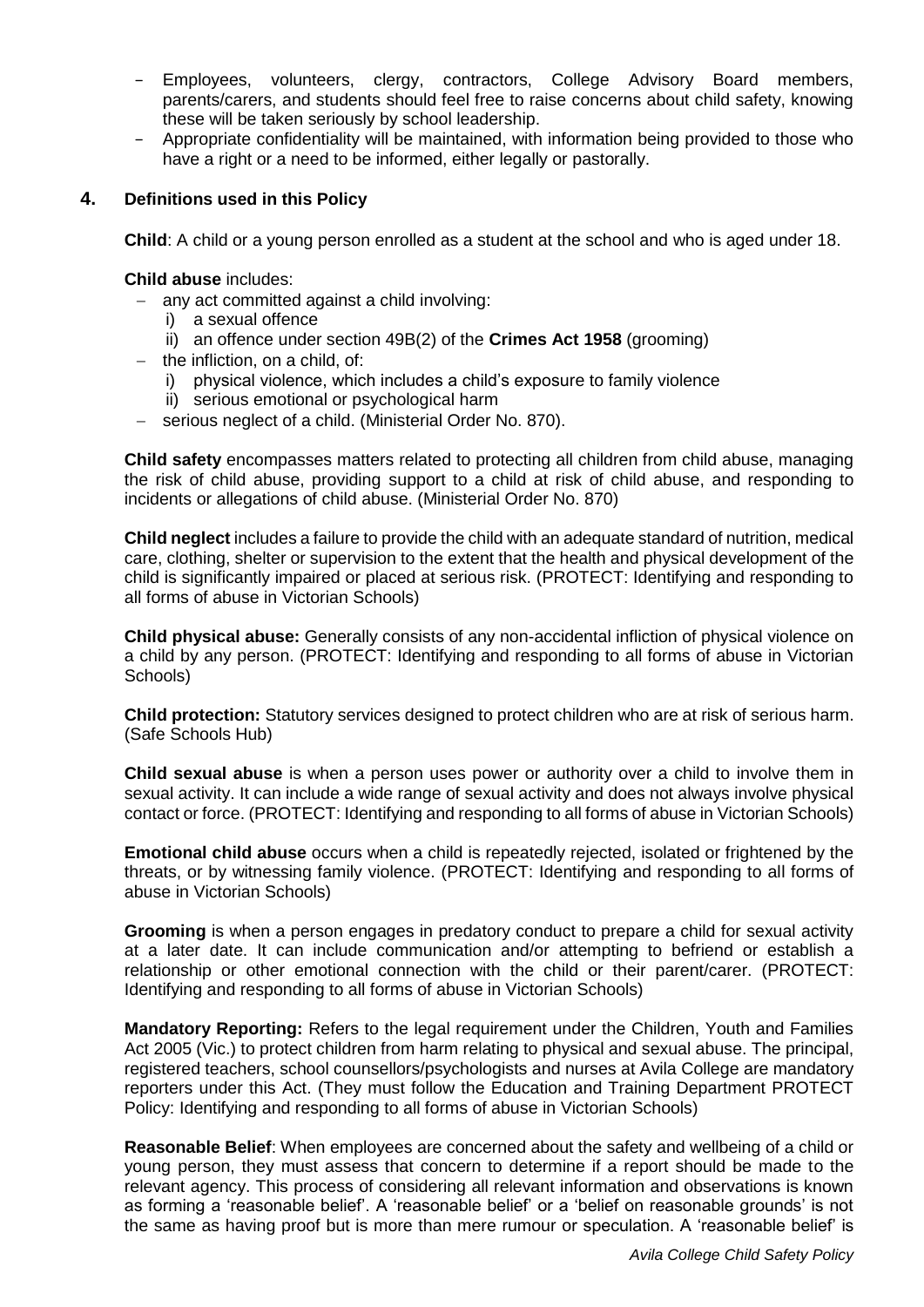- − Employees, volunteers, clergy, contractors, College Advisory Board members, parents/carers, and students should feel free to raise concerns about child safety, knowing these will be taken seriously by school leadership.
- − Appropriate confidentiality will be maintained, with information being provided to those who have a right or a need to be informed, either legally or pastorally.

# **4. Definitions used in this Policy**

**Child**: A child or a young person enrolled as a student at the school and who is aged under 18.

#### **Child abuse** includes:

- $-$  any act committed against a child involving:
	- i) a sexual offence
	- ii) an offence under section 49B(2) of the **Crimes Act 1958** (grooming)
- $-$  the infliction, on a child, of:
	- i) physical violence, which includes a child's exposure to family violence
	- ii) serious emotional or psychological harm
- serious neglect of a child. (Ministerial Order No. 870).

**Child safety** encompasses matters related to protecting all children from child abuse, managing the risk of child abuse, providing support to a child at risk of child abuse, and responding to incidents or allegations of child abuse. (Ministerial Order No. 870)

**Child neglect** includes a failure to provide the child with an adequate standard of nutrition, medical care, clothing, shelter or supervision to the extent that the health and physical development of the child is significantly impaired or placed at serious risk. (PROTECT: Identifying and responding to all forms of abuse in Victorian Schools)

**Child physical abuse:** Generally consists of any non-accidental infliction of physical violence on a child by any person. (PROTECT: Identifying and responding to all forms of abuse in Victorian Schools)

**Child protection:** Statutory services designed to protect children who are at risk of serious harm. (Safe Schools Hub)

**Child sexual abuse** is when a person uses power or authority over a child to involve them in sexual activity. It can include a wide range of sexual activity and does not always involve physical contact or force. (PROTECT: Identifying and responding to all forms of abuse in Victorian Schools)

**Emotional child abuse** occurs when a child is repeatedly rejected, isolated or frightened by the threats, or by witnessing family violence. (PROTECT: Identifying and responding to all forms of abuse in Victorian Schools)

**Grooming** is when a person engages in predatory conduct to prepare a child for sexual activity at a later date. It can include communication and/or attempting to befriend or establish a relationship or other emotional connection with the child or their parent/carer. (PROTECT: Identifying and responding to all forms of abuse in Victorian Schools)

**Mandatory Reporting:** Refers to the legal requirement under the Children, Youth and Families Act 2005 (Vic.) to protect children from harm relating to physical and sexual abuse. The principal, registered teachers, school counsellors/psychologists and nurses at Avila College are mandatory reporters under this Act. (They must follow the Education and Training Department PROTECT Policy: Identifying and responding to all forms of abuse in Victorian Schools)

**Reasonable Belief**: When employees are concerned about the safety and wellbeing of a child or young person, they must assess that concern to determine if a report should be made to the relevant agency. This process of considering all relevant information and observations is known as forming a 'reasonable belief'. A 'reasonable belief' or a 'belief on reasonable grounds' is not the same as having proof but is more than mere rumour or speculation. A 'reasonable belief' is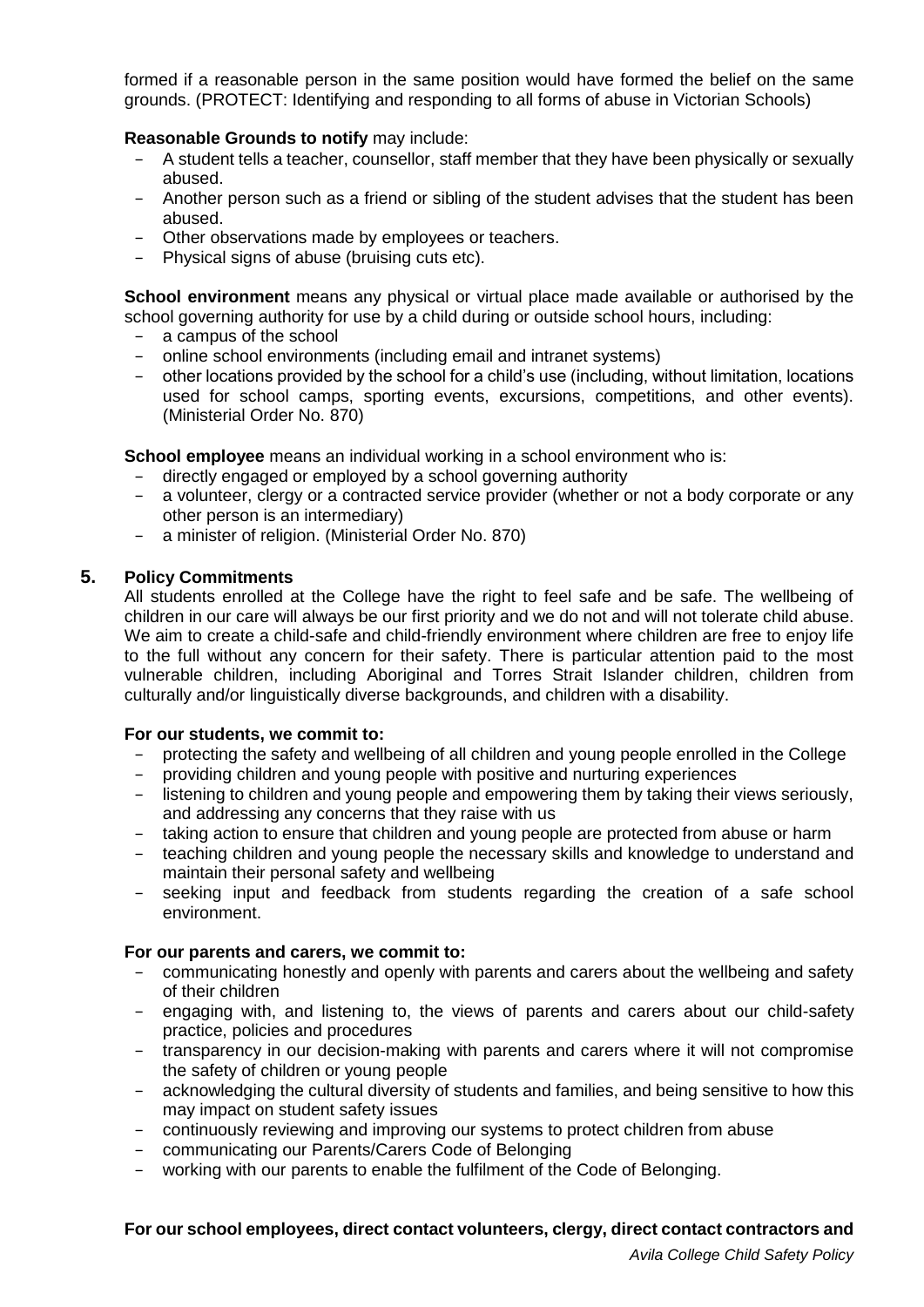formed if a reasonable person in the same position would have formed the belief on the same grounds. (PROTECT: Identifying and responding to all forms of abuse in Victorian Schools)

## **Reasonable Grounds to notify** may include:

- − A student tells a teacher, counsellor, staff member that they have been physically or sexually abused.
- − Another person such as a friend or sibling of the student advises that the student has been abused.
- − Other observations made by employees or teachers.
- − Physical signs of abuse (bruising cuts etc).

**School environment** means any physical or virtual place made available or authorised by the school governing authority for use by a child during or outside school hours, including:

- − a campus of the school
- − online school environments (including email and intranet systems)
- − other locations provided by the school for a child's use (including, without limitation, locations used for school camps, sporting events, excursions, competitions, and other events). (Ministerial Order No. 870)

**School employee** means an individual working in a school environment who is:

- directly engaged or employed by a school governing authority
- − a volunteer, clergy or a contracted service provider (whether or not a body corporate or any other person is an intermediary)
- − a minister of religion. (Ministerial Order No. 870)

# **5. Policy Commitments**

All students enrolled at the College have the right to feel safe and be safe. The wellbeing of children in our care will always be our first priority and we do not and will not tolerate child abuse. We aim to create a child-safe and child-friendly environment where children are free to enjoy life to the full without any concern for their safety. There is particular attention paid to the most vulnerable children, including Aboriginal and Torres Strait Islander children, children from culturally and/or linguistically diverse backgrounds, and children with a disability.

#### **For our students, we commit to:**

- − protecting the safety and wellbeing of all children and young people enrolled in the College
- − providing children and young people with positive and nurturing experiences
- − listening to children and young people and empowering them by taking their views seriously, and addressing any concerns that they raise with us
- − taking action to ensure that children and young people are protected from abuse or harm
- − teaching children and young people the necessary skills and knowledge to understand and maintain their personal safety and wellbeing
- − seeking input and feedback from students regarding the creation of a safe school environment.

#### **For our parents and carers, we commit to:**

- − communicating honestly and openly with parents and carers about the wellbeing and safety of their children
- − engaging with, and listening to, the views of parents and carers about our child-safety practice, policies and procedures
- − transparency in our decision-making with parents and carers where it will not compromise the safety of children or young people
- − acknowledging the cultural diversity of students and families, and being sensitive to how this may impact on student safety issues
- − continuously reviewing and improving our systems to protect children from abuse
- − communicating our Parents/Carers Code of Belonging
- − working with our parents to enable the fulfilment of the Code of Belonging.

### **For our school employees, direct contact volunteers, clergy, direct contact contractors and**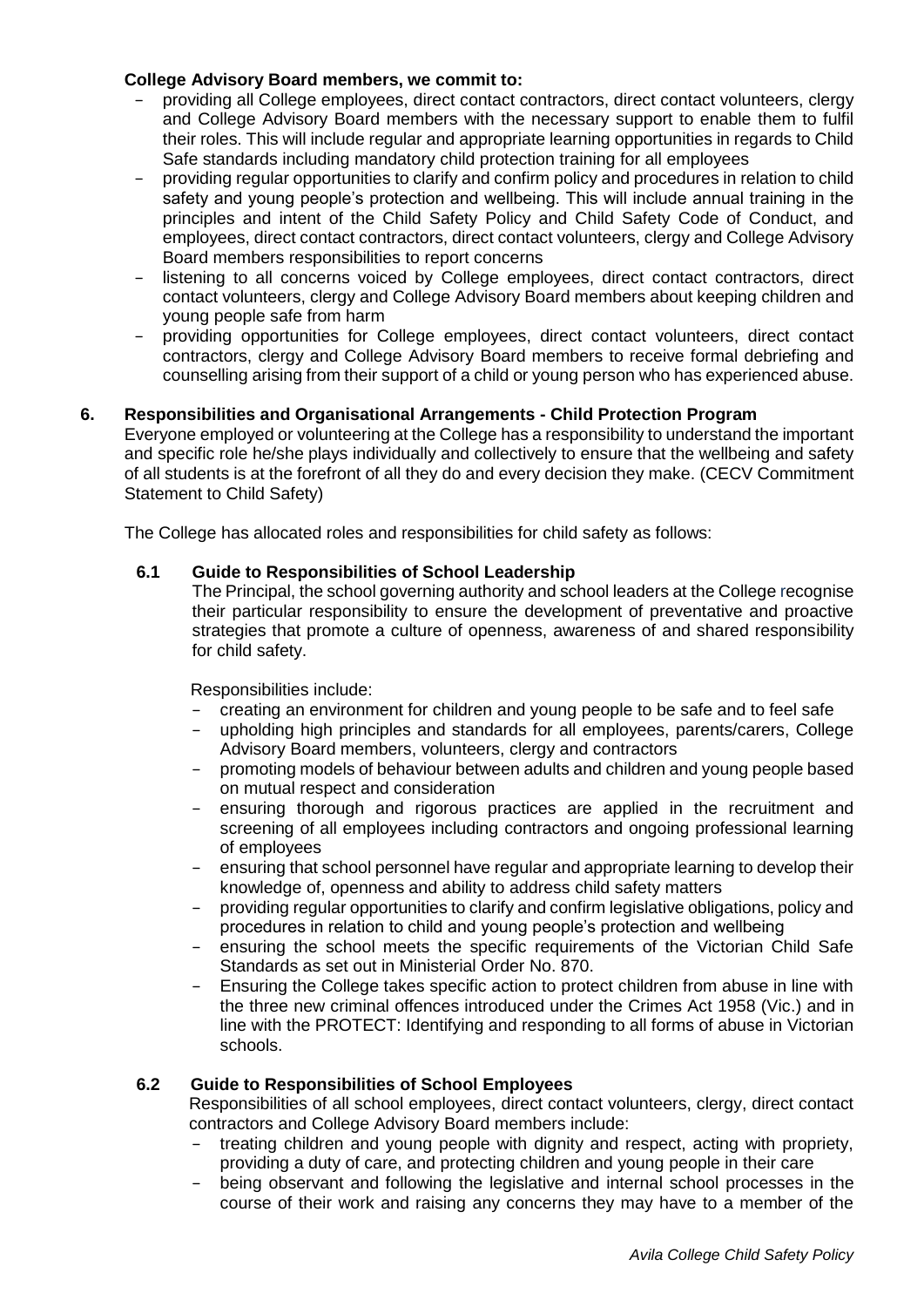# **College Advisory Board members, we commit to:**

- − providing all College employees, direct contact contractors, direct contact volunteers, clergy and College Advisory Board members with the necessary support to enable them to fulfil their roles. This will include regular and appropriate learning opportunities in regards to Child Safe standards including mandatory child protection training for all employees
- − providing regular opportunities to clarify and confirm policy and procedures in relation to child safety and young people's protection and wellbeing. This will include annual training in the principles and intent of the Child Safety Policy and Child Safety Code of Conduct, and employees, direct contact contractors, direct contact volunteers, clergy and College Advisory Board members responsibilities to report concerns
- listening to all concerns voiced by College employees, direct contact contractors, direct contact volunteers, clergy and College Advisory Board members about keeping children and young people safe from harm
- − providing opportunities for College employees, direct contact volunteers, direct contact contractors, clergy and College Advisory Board members to receive formal debriefing and counselling arising from their support of a child or young person who has experienced abuse.

# **6. Responsibilities and Organisational Arrangements - Child Protection Program**

Everyone employed or volunteering at the College has a responsibility to understand the important and specific role he/she plays individually and collectively to ensure that the wellbeing and safety of all students is at the forefront of all they do and every decision they make. (CECV Commitment Statement to Child Safety)

The College has allocated roles and responsibilities for child safety as follows:

# **6.1 Guide to Responsibilities of School Leadership**

The Principal, the school governing authority and school leaders at the College recognise their particular responsibility to ensure the development of preventative and proactive strategies that promote a culture of openness, awareness of and shared responsibility for child safety.

Responsibilities include:

- − creating an environment for children and young people to be safe and to feel safe
- − upholding high principles and standards for all employees, parents/carers, College Advisory Board members, volunteers, clergy and contractors
- − promoting models of behaviour between adults and children and young people based on mutual respect and consideration
- − ensuring thorough and rigorous practices are applied in the recruitment and screening of all employees including contractors and ongoing professional learning of employees
- ensuring that school personnel have regular and appropriate learning to develop their knowledge of, openness and ability to address child safety matters
- providing regular opportunities to clarify and confirm legislative obligations, policy and procedures in relation to child and young people's protection and wellbeing
- − ensuring the school meets the specific requirements of the Victorian Child Safe Standards as set out in [Ministerial Order No. 870.](http://www.gazette.vic.gov.au/gazette/Gazettes2016/GG2016S002.pdf)
- Ensuring the College takes specific action to protect children from abuse in line with the three new criminal offences introduced under the Crimes Act 1958 (Vic.) and in line with the PROTECT: Identifying and responding to all forms of abuse in Victorian schools.

# **6.2 Guide to Responsibilities of School Employees**

Responsibilities of all school employees, direct contact volunteers, clergy, direct contact contractors and College Advisory Board members include:

- treating children and young people with dignity and respect, acting with propriety, providing a duty of care, and protecting children and young people in their care
- being observant and following the legislative and internal school processes in the course of their work and raising any concerns they may have to a member of the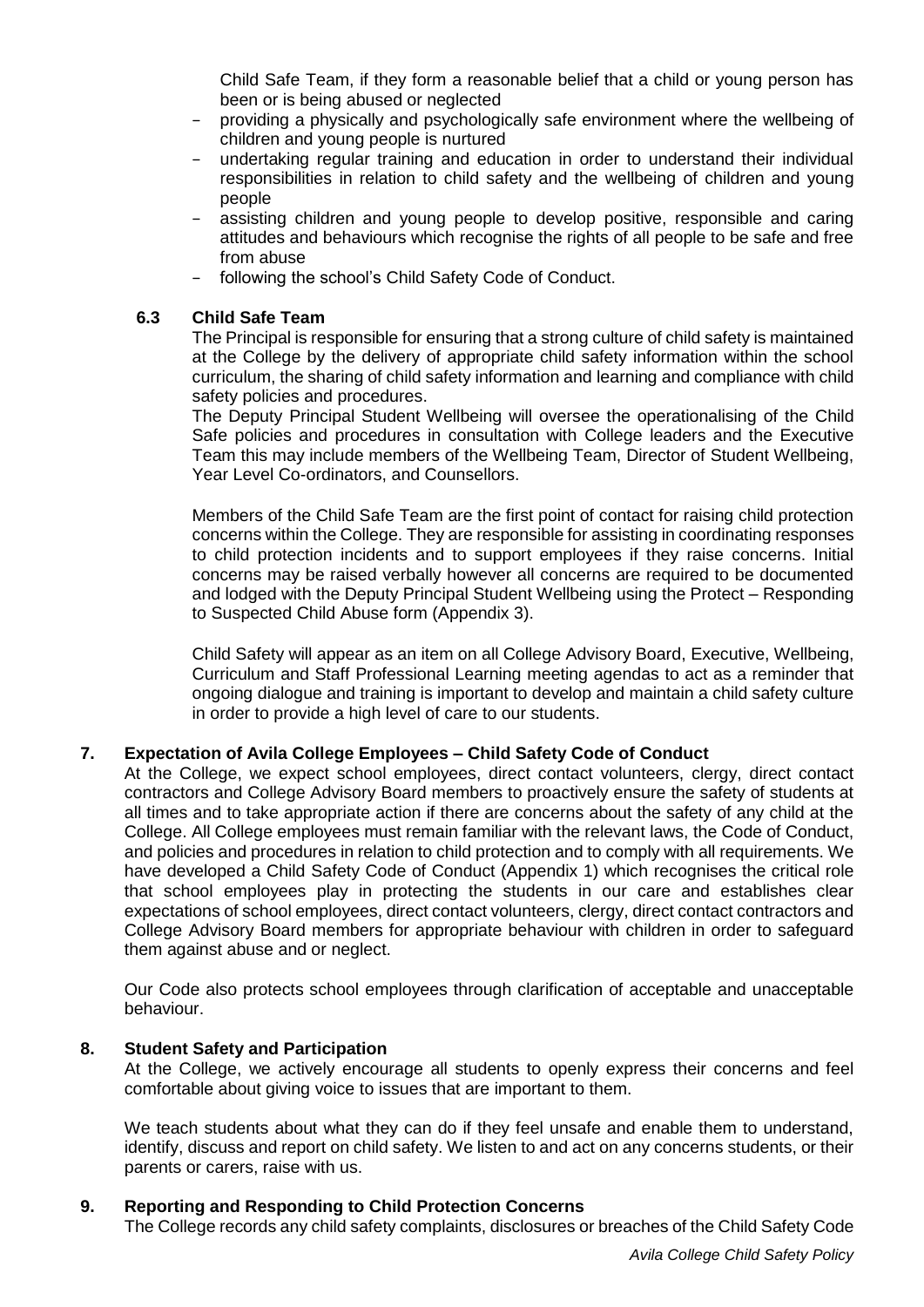Child Safe Team, if they form a reasonable belief that a child or young person has been or is being abused or neglected

- providing a physically and psychologically safe environment where the wellbeing of children and young people is nurtured
- undertaking regular training and education in order to understand their individual responsibilities in relation to child safety and the wellbeing of children and young people
- assisting children and young people to develop positive, responsible and caring attitudes and behaviours which recognise the rights of all people to be safe and free from abuse
- following the school's Child Safety Code of Conduct.

## **6.3 Child Safe Team**

The Principal is responsible for ensuring that a strong culture of child safety is maintained at the College by the delivery of appropriate child safety information within the school curriculum, the sharing of child safety information and learning and compliance with child safety policies and procedures.

The Deputy Principal Student Wellbeing will oversee the operationalising of the Child Safe policies and procedures in consultation with College leaders and the Executive Team this may include members of the Wellbeing Team, Director of Student Wellbeing, Year Level Co-ordinators, and Counsellors.

Members of the Child Safe Team are the first point of contact for raising child protection concerns within the College. They are responsible for assisting in coordinating responses to child protection incidents and to support employees if they raise concerns. Initial concerns may be raised verbally however all concerns are required to be documented and lodged with the Deputy Principal Student Wellbeing using the Protect – Responding to Suspected Child Abuse form (Appendix 3).

Child Safety will appear as an item on all College Advisory Board, Executive, Wellbeing, Curriculum and Staff Professional Learning meeting agendas to act as a reminder that ongoing dialogue and training is important to develop and maintain a child safety culture in order to provide a high level of care to our students.

# **7. Expectation of Avila College Employees – Child Safety Code of Conduct**

At the College, we expect school employees, direct contact volunteers, clergy, direct contact contractors and College Advisory Board members to proactively ensure the safety of students at all times and to take appropriate action if there are concerns about the safety of any child at the College. All College employees must remain familiar with the relevant laws, the Code of Conduct, and policies and procedures in relation to child protection and to comply with all requirements. We have developed a Child Safety Code of Conduct (Appendix 1) which recognises the critical role that school employees play in protecting the students in our care and establishes clear expectations of school employees, direct contact volunteers, clergy, direct contact contractors and College Advisory Board members for appropriate behaviour with children in order to safeguard them against abuse and or neglect.

Our Code also protects school employees through clarification of acceptable and unacceptable behaviour.

#### **8. Student Safety and Participation**

At the College, we actively encourage all students to openly express their concerns and feel comfortable about giving voice to issues that are important to them.

We teach students about what they can do if they feel unsafe and enable them to understand. identify, discuss and report on child safety. We listen to and act on any concerns students, or their parents or carers, raise with us.

#### **9. Reporting and Responding to Child Protection Concerns**

The College records any child safety complaints, disclosures or breaches of the Child Safety Code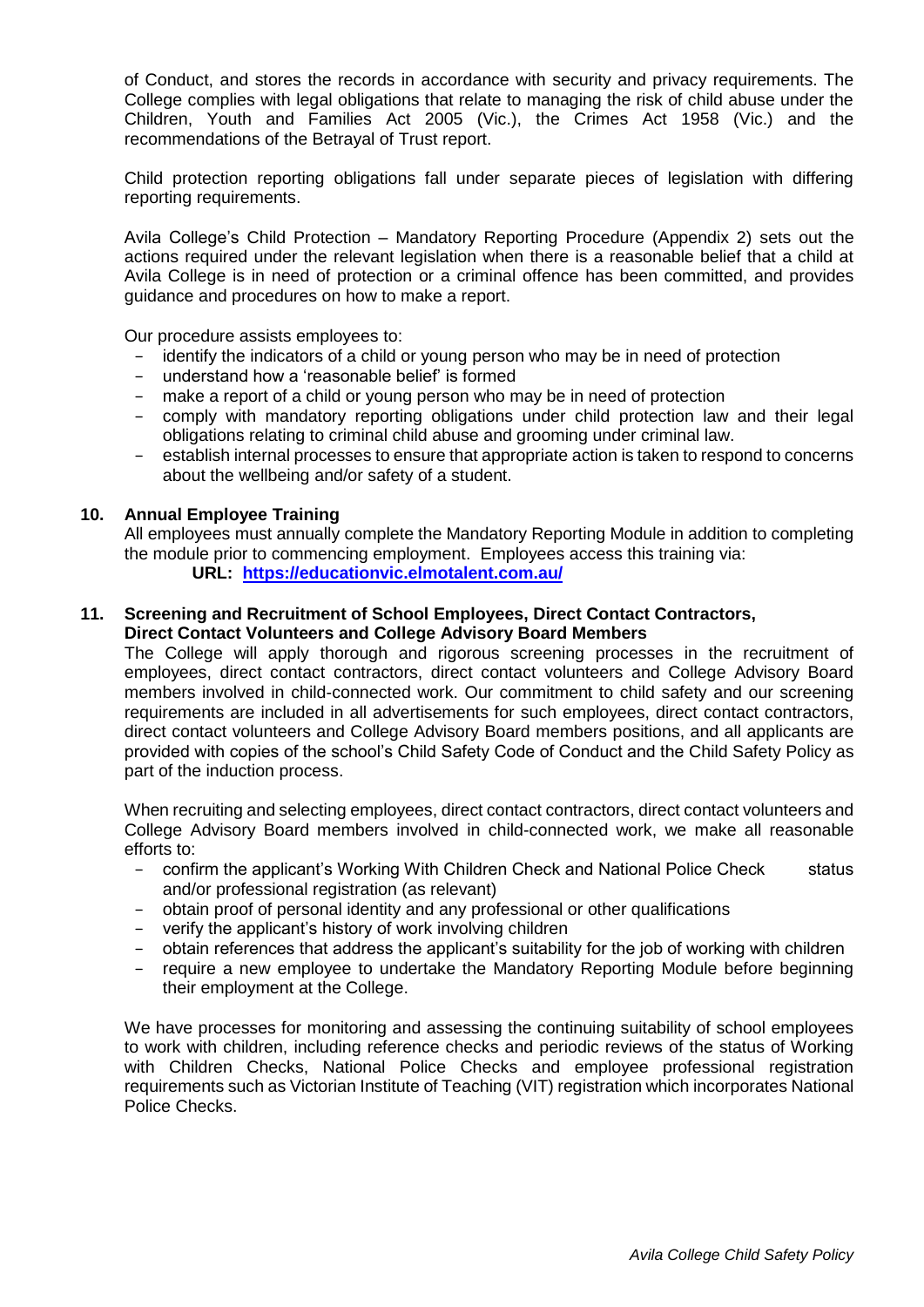of Conduct, and stores the records in accordance with security and privacy requirements. The College complies with legal obligations that relate to managing the risk of child abuse under the Children, Youth and Families Act 2005 (Vic.), the Crimes Act 1958 (Vic.) and the recommendations of the [B](http://www.parliament.vic.gov.au/fcdc/article/1788)etrayal of Trust report.

Child protection reporting obligations fall under separate pieces of legislation with differing reporting requirements.

Avila College's Child Protection – Mandatory Reporting Procedure (Appendix 2) sets out the actions required under the relevant legislation when there is a reasonable belief that a child at Avila College is in need of protection or a criminal offence has been committed, and provides guidance and procedures on how to make a report.

Our procedure assists employees to:

- − identify the indicators of a child or young person who may be in need of protection
- understand how a 'reasonable belief' is formed
- − make a report of a child or young person who may be in need of protection
- − comply with mandatory reporting obligations under child protection law and their legal obligations relating to criminal child abuse and grooming under criminal law.
- − establish internal processes to ensure that appropriate action is taken to respond to concerns about the wellbeing and/or safety of a student.

#### **10. Annual Employee Training**

All employees must annually complete the Mandatory Reporting Module in addition to completing the module prior to commencing employment. Employees access this training via: **URL[:](http://www.elearn.com.au/det/protectingchildren/external) <https://educationvic.elmotalent.com.au/>**

## **11. Screening and Recruitment of School Employees, Direct Contact Contractors, Direct Contact Volunteers and College Advisory Board Members**

The College will apply thorough and rigorous screening processes in the recruitment of employees, direct contact contractors, direct contact volunteers and College Advisory Board members involved in child-connected work. Our commitment to child safety and our screening requirements are included in all advertisements for such employees, direct contact contractors, direct contact volunteers and College Advisory Board members positions, and all applicants are provided with copies of the school's Child Safety Code of Conduct and the Child Safety Policy as part of the induction process.

When recruiting and selecting employees, direct contact contractors, direct contact volunteers and College Advisory Board members involved in child-connected work, we make all reasonable efforts to:

- − confirm the applicant's Working With Children Check and National Police Check status and/or professional registration (as relevant)
- − obtain proof of personal identity and any professional or other qualifications
- − verify the applicant's history of work involving children
- − obtain references that address the applicant's suitability for the job of working with children
- − require a new employee to undertake the Mandatory Reporting Module before beginning their employment at the College.

We have processes for monitoring and assessing the continuing suitability of school employees to work with children, including reference checks and periodic reviews of the status of Working with Children Checks, National Police Checks and employee professional registration requirements such as Victorian Institute of Teaching (VIT) registration which incorporates National Police Checks.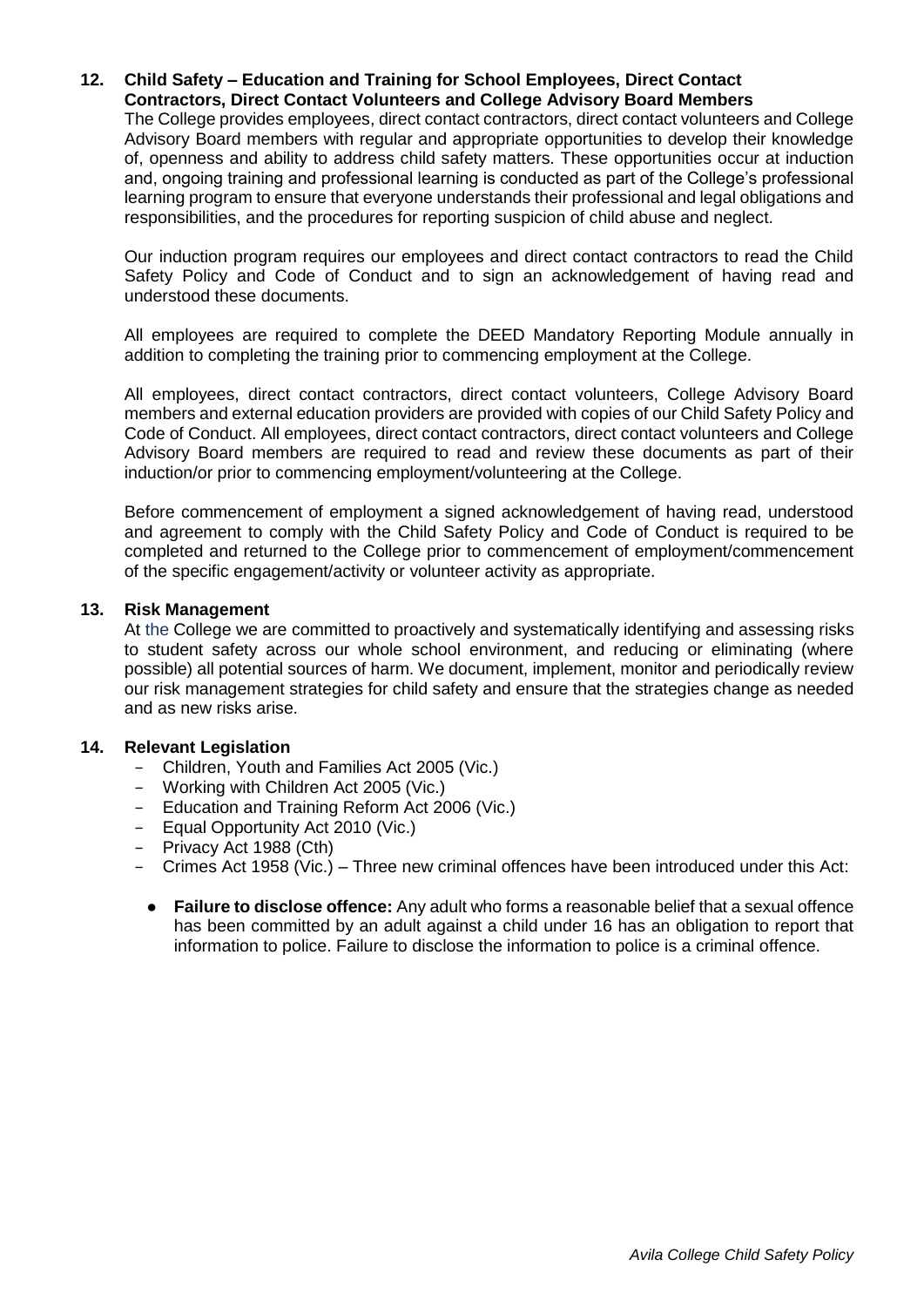#### **12. Child Safety – Education and Training for School Employees, Direct Contact Contractors, Direct Contact Volunteers and College Advisory Board Members**

The College provides employees, direct contact contractors, direct contact volunteers and College Advisory Board members with regular and appropriate opportunities to develop their knowledge of, openness and ability to address child safety matters. These opportunities occur at induction and, ongoing training and professional learning is conducted as part of the College's professional learning program to ensure that everyone understands their professional and legal obligations and responsibilities, and the procedures for reporting suspicion of child abuse and neglect.

Our induction program requires our employees and direct contact contractors to read the Child Safety Policy and Code of Conduct and to sign an acknowledgement of having read and understood these documents.

All employees are required to complete the DEED Mandatory Reporting Module annually in addition to completing the training prior to commencing employment at the College.

All employees, direct contact contractors, direct contact volunteers, College Advisory Board members and external education providers are provided with copies of our Child Safety Policy and Code of Conduct. All employees, direct contact contractors, direct contact volunteers and College Advisory Board members are required to read and review these documents as part of their induction/or prior to commencing employment/volunteering at the College.

Before commencement of employment a signed acknowledgement of having read, understood and agreement to comply with the Child Safety Policy and Code of Conduct is required to be completed and returned to the College prior to commencement of employment/commencement of the specific engagement/activity or volunteer activity as appropriate.

### **13. Risk Management**

At the College we are committed to proactively and systematically identifying and assessing risks to student safety across our whole school environment, and reducing or eliminating (where possible) all potential sources of harm. We document, implement, monitor and periodically review our risk management strategies for child safety and ensure that the strategies change as needed and as new risks arise.

#### **14. Relevant Legislation**

- − Children, Youth and Families Act 2005 (Vic.)
- − Working with Children Act 2005 (Vic.)
- − Education and Training Reform Act 2006 (Vic.)
- − Equal Opportunity Act 2010 (Vic.)
- − Privacy Act 1988 (Cth)
- − Crimes Act 1958 (Vic.) Three new criminal offences have been introduced under this Act:
	- **[Failure to disclose offence:](http://www.justice.vic.gov.au/home/safer%2Bcommunities/protecting%2Bchildren%2Band%2Bfamilies/failure%2Bto%2Bdisclose%2Boffence)** Any adult who forms a reasonable belief that a sexual offence has been committed by an adult against a child under 16 has an obligation to report that information to police. Failure to disclose the information to police is a criminal offence.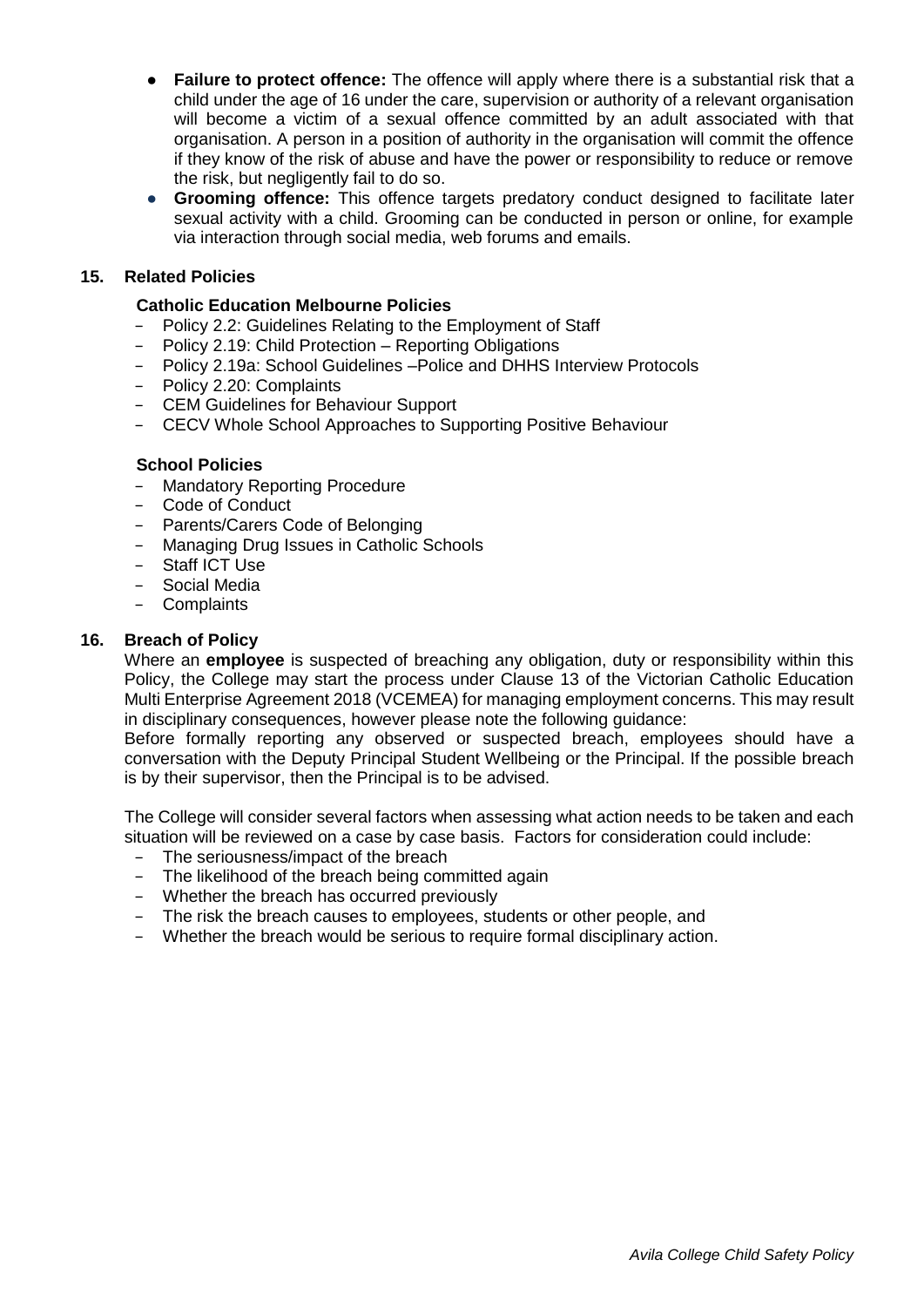- [Failure to protect offence:](http://www.cecv.catholic.edu.au/http:/www.justice.vic.gov.au/home/safer%2Bcommunities/protecting%2Bchildren%2Band%2Bfamilies/failure%2Bto%2Bprotect%2Boffence) The offence will apply where there is a substantial risk that a child under the age of 16 under the care, supervision or authority of a relevant organisation will become a victim of a sexual offence committed by an adult associated with that organisation. A person in a position of authority in the organisation will commit the offence if they know of the risk of abuse and have the power or responsibility to reduce or remove the risk, but negligently fail to do so.
- **Grooming offence:** This offence targets predatory conduct designed to facilitate later sexual activity with a child. Grooming can be conducted in person or online, for example via interaction through social media, web forums and emails.

# **15. Related Policies**

# **Catholic Education Melbourne Policies**

- − Policy 2.2: Guidelines Relating to the Employment of Staff
- − Policy 2.19: Child Protection Reporting Obligations
- − Policy 2.19a: School Guidelines –Police and DHHS Interview Protocols
- − Policy 2.20: Complaints
- − CEM Guidelines for Behaviour Support
- − CECV Whole School Approaches to Supporting Positive Behaviour

#### **School Policies**

- − Mandatory Reporting Procedure
- − Code of Conduct
- − Parents/Carers Code of Belonging
- − Managing Drug Issues in Catholic Schools
- − Staff ICT Use
- − Social Media
- − Complaints

### **16. Breach of Policy**

Where an **employee** is suspected of breaching any obligation, duty or responsibility within this Policy, the College may start the process under Clause 13 of the Victorian Catholic Education Multi Enterprise Agreement 2018 (VCEMEA) for managing employment concerns. This may result in disciplinary consequences, however please note the following guidance:

Before formally reporting any observed or suspected breach, employees should have a conversation with the Deputy Principal Student Wellbeing or the Principal. If the possible breach is by their supervisor, then the Principal is to be advised.

The College will consider several factors when assessing what action needs to be taken and each situation will be reviewed on a case by case basis. Factors for consideration could include:

- − The seriousness/impact of the breach
- − The likelihood of the breach being committed again
- − Whether the breach has occurred previously
- − The risk the breach causes to employees, students or other people, and
- − Whether the breach would be serious to require formal disciplinary action.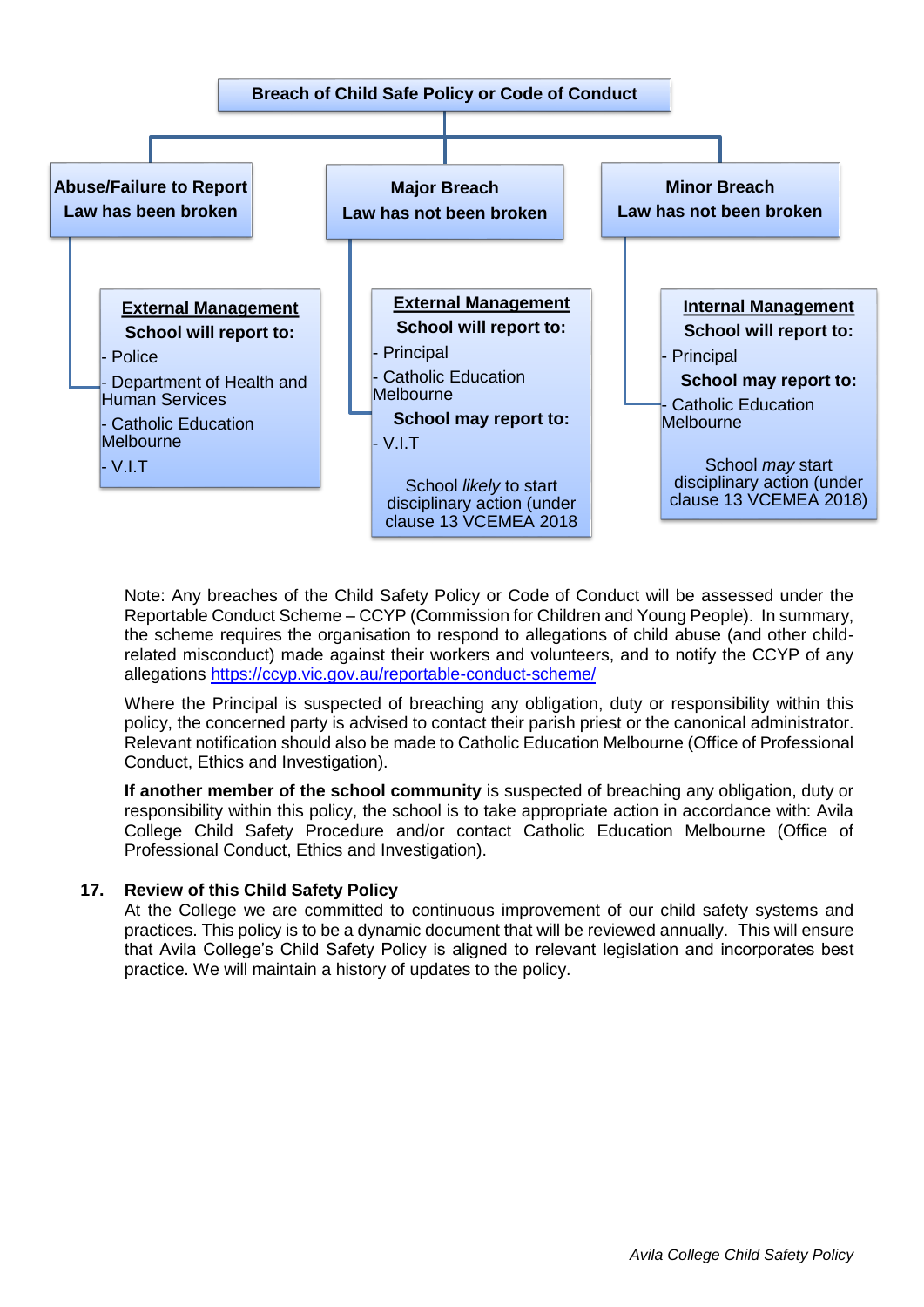

Note: Any breaches of the Child Safety Policy or Code of Conduct will be assessed under the Reportable Conduct Scheme – CCYP (Commission for Children and Young People). In summary, the scheme requires the organisation to respond to allegations of child abuse (and other childrelated misconduct) made against their workers and volunteers, and to notify the CCYP of any allegations<https://ccyp.vic.gov.au/reportable-conduct-scheme/>

Where the Principal is suspected of breaching any obligation, duty or responsibility within this policy, the concerned party is advised to contact their parish priest or the canonical administrator. Relevant notification should also be made to Catholic Education Melbourne (Office of Professional Conduct, Ethics and Investigation).

**If another member of the school community** is suspected of breaching any obligation, duty or responsibility within this policy, the school is to take appropriate action in accordance with: Avila College Child Safety Procedure and/or contact Catholic Education Melbourne (Office of Professional Conduct, Ethics and Investigation).

#### **17. Review of this Child Safety Policy**

At the College we are committed to continuous improvement of our child safety systems and practices. This policy is to be a dynamic document that will be reviewed annually. This will ensure that Avila College's Child Safety Policy is aligned to relevant legislation and incorporates best practice. We will maintain a history of updates to the policy.